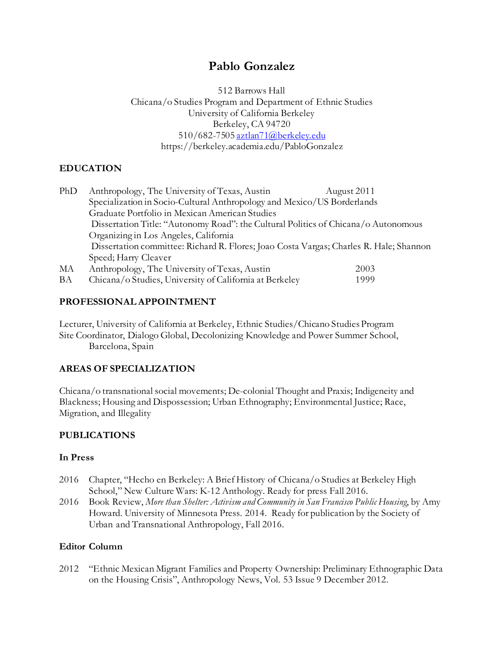# **Pablo Gonzalez**

512 Barrows Hall Chicana/o Studies Program and Department of Ethnic Studies University of California Berkeley Berkeley, CA 94720 510/682-750[5 aztlan71@berkeley.edu](mailto:aztlan71@berkeley.edu) https://berkeley.academia.edu/PabloGonzalez

## **EDUCATION**

| PhD | Anthropology, The University of Texas, Austin                                          | August 2011 |  |
|-----|----------------------------------------------------------------------------------------|-------------|--|
|     | Specialization in Socio-Cultural Anthropology and Mexico/US Borderlands                |             |  |
|     | Graduate Portfolio in Mexican American Studies                                         |             |  |
|     | Dissertation Title: "Autonomy Road": the Cultural Politics of Chicana/o Autonomous     |             |  |
|     | Organizing in Los Angeles, California                                                  |             |  |
|     | Dissertation committee: Richard R. Flores; Joao Costa Vargas; Charles R. Hale; Shannon |             |  |
|     | Speed; Harry Cleaver                                                                   |             |  |
| МA  | Anthropology, The University of Texas, Austin                                          | 2003        |  |
| BA  | Chicana/o Studies, University of California at Berkeley                                | 1999        |  |

### **PROFESSIONAL APPOINTMENT**

Lecturer, University of California at Berkeley, Ethnic Studies/Chicano Studies Program Site Coordinator, Dialogo Global, Decolonizing Knowledge and Power Summer School, Barcelona, Spain

## **AREAS OF SPECIALIZATION**

Chicana/o transnational social movements; De-colonial Thought and Praxis; Indigeneity and Blackness; Housing and Dispossession; Urban Ethnography; Environmental Justice; Race, Migration, and Illegality

## **PUBLICATIONS**

### **In Press**

- 2016 Chapter, "Hecho en Berkeley: A Brief History of Chicana/o Studies at Berkeley High School," New Culture Wars: K-12 Anthology. Ready for press Fall 2016.
- 2016 Book Review, *More than Shelter: Activism and Community in San Francisco Public Housing*, by Amy Howard. University of Minnesota Press. 2014. Ready for publication by the Society of Urban and Transnational Anthropology, Fall 2016.

### **Editor Column**

2012 "Ethnic Mexican Migrant Families and Property Ownership: Preliminary Ethnographic Data on the Housing Crisis", Anthropology News, Vol. 53 Issue 9 December 2012.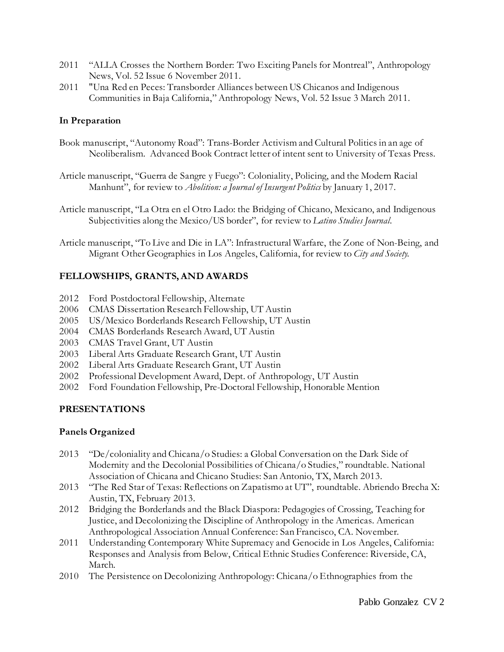- 2011 "ALLA Crosses the Northern Border: Two Exciting Panels for Montreal", Anthropology News, Vol. 52 Issue 6 November 2011.
- 2011 "Una Red en Peces: Transborder Alliances between US Chicanos and Indigenous Communities in Baja California," Anthropology News, Vol. 52 Issue 3 March 2011.

### **In Preparation**

- Book manuscript, "Autonomy Road": Trans-Border Activism and Cultural Politics in an age of Neoliberalism. Advanced Book Contract letter of intent sent to University of Texas Press.
- Article manuscript, "Guerra de Sangre y Fuego": Coloniality, Policing, and the Modern Racial Manhunt", for review to *Abolition: a Journal of Insurgent Politics* by January 1, 2017.
- Article manuscript, "La Otra en el Otro Lado: the Bridging of Chicano, Mexicano, and Indigenous Subjectivities along the Mexico/US border", for review to *Latino Studies Journal.*
- Article manuscript, "To Live and Die in LA": Infrastructural Warfare, the Zone of Non-Being, and Migrant Other Geographies in Los Angeles, California, for review to *City and Society.*

### **FELLOWSHIPS, GRANTS, AND AWARDS**

- 2012 Ford Postdoctoral Fellowship, Alternate
- 2006 CMAS Dissertation Research Fellowship, UT Austin
- 2005 US/Mexico Borderlands Research Fellowship, UT Austin
- 2004 CMAS Borderlands Research Award, UT Austin
- 2003 CMAS Travel Grant, UT Austin
- 2003 Liberal Arts Graduate Research Grant, UT Austin
- 2002 Liberal Arts Graduate Research Grant, UT Austin
- 2002 Professional Development Award, Dept. of Anthropology, UT Austin
- 2002 Ford Foundation Fellowship, Pre-Doctoral Fellowship, Honorable Mention

### **PRESENTATIONS**

### **Panels Organized**

- 2013 "De/coloniality and Chicana/o Studies: a Global Conversation on the Dark Side of Modernity and the Decolonial Possibilities of Chicana/o Studies," roundtable. National Association of Chicana and Chicano Studies: San Antonio, TX, March 2013.
- 2013 "The Red Star of Texas: Reflections on Zapatismo at UT", roundtable. Abriendo Brecha X: Austin, TX, February 2013.
- 2012 Bridging the Borderlands and the Black Diaspora: Pedagogies of Crossing, Teaching for Justice, and Decolonizing the Discipline of Anthropology in the Americas. American Anthropological Association Annual Conference: San Francisco, CA. November.
- 2011 Understanding Contemporary White Supremacy and Genocide in Los Angeles, California: Responses and Analysis from Below, Critical Ethnic Studies Conference: Riverside, CA, March*.*
- 2010 The Persistence on Decolonizing Anthropology: Chicana/o Ethnographies from the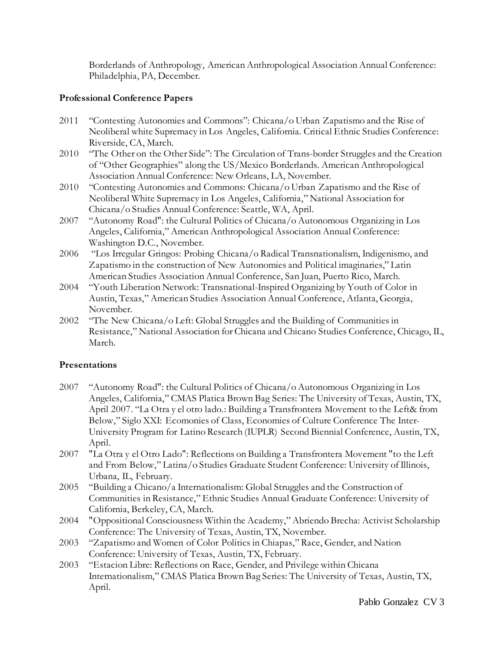Borderlands of Anthropology, American Anthropological Association Annual Conference: Philadelphia, PA, December.

### **Professional Conference Papers**

- 2011 "Contesting Autonomies and Commons": Chicana/o Urban Zapatismo and the Rise of Neoliberal white Supremacy in Los Angeles, California. Critical Ethnic Studies Conference: Riverside, CA, March.
- 2010 "The Other on the Other Side": The Circulation of Trans-border Struggles and the Creation of "Other Geographies" along the US/Mexico Borderlands. American Anthropological Association Annual Conference: New Orleans, LA, November.
- 2010 "Contesting Autonomies and Commons: Chicana/o Urban Zapatismo and the Rise of Neoliberal White Supremacy in Los Angeles, California," National Association for Chicana/o Studies Annual Conference: Seattle, WA, April.
- 2007 "Autonomy Road": the Cultural Politics of Chicana/o Autonomous Organizing in Los Angeles, California," American Anthropological Association Annual Conference: Washington D.C., November.
- 2006 "Los Irregular Gringos: Probing Chicana/o Radical Transnationalism, Indigenismo, and Zapatismo in the construction of New Autonomies and Political imaginaries," Latin American Studies Association Annual Conference, San Juan, Puerto Rico, March.
- 2004 "Youth Liberation Network: Transnational-Inspired Organizing by Youth of Color in Austin, Texas," American Studies Association Annual Conference, Atlanta, Georgia, November.
- 2002 "The New Chicana/o Left: Global Struggles and the Building of Communities in Resistance," National Association for Chicana and Chicano Studies Conference, Chicago, IL, March.

### **Presentations**

- 2007 "Autonomy Road": the Cultural Politics of Chicana/o Autonomous Organizing in Los Angeles, California," CMAS Platica Brown Bag Series: The University of Texas, Austin, TX, April 2007. "La Otra y el otro lado.: Building a Transfrontera Movement to the Left& from Below," Siglo XXI: Ecomonies of Class, Economies of Culture Conference The Inter-University Program for Latino Research (IUPLR) Second Biennial Conference, Austin, TX, April.
- 2007 "La Otra y el Otro Lado": Reflections on Building a Transfrontera Movement "to the Left and From Below," Latina/o Studies Graduate Student Conference: University of Illinois, Urbana, IL, February.
- 2005 "Building a Chicano/a Internationalism: Global Struggles and the Construction of Communities in Resistance," Ethnic Studies Annual Graduate Conference: University of California, Berkeley, CA, March.
- 2004 "Oppositional Consciousness Within the Academy," Abriendo Brecha: Activist Scholarship Conference: The University of Texas, Austin, TX, November.
- 2003 "Zapatismo and Women of Color Politics in Chiapas," Race, Gender, and Nation Conference: University of Texas, Austin, TX, February.
- 2003 "Estacion Libre: Reflections on Race, Gender, and Privilege within Chicana Internationalism," CMAS Platica Brown Bag Series: The University of Texas, Austin, TX, April.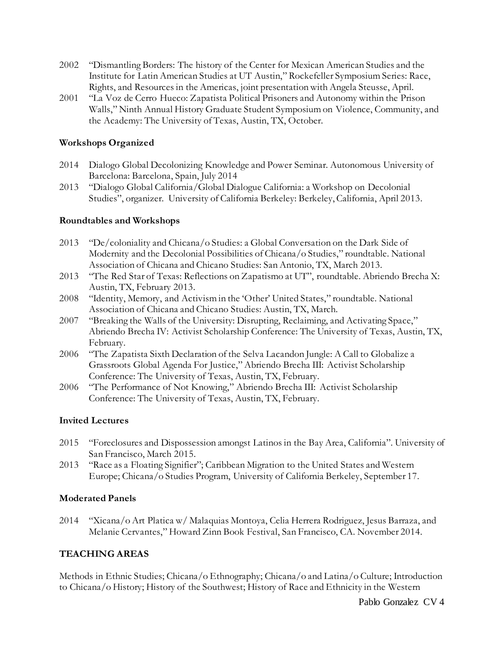- 2002 "Dismantling Borders: The history of the Center for Mexican American Studies and the Institute for Latin American Studies at UT Austin," Rockefeller Symposium Series: Race, Rights, and Resources in the Americas, joint presentation with Angela Steusse, April.
- 2001 "La Voz de Cerro Hueco: Zapatista Political Prisoners and Autonomy within the Prison Walls," Ninth Annual History Graduate Student Symposium on Violence, Community, and the Academy: The University of Texas, Austin, TX, October.

### **Workshops Organized**

- 2014 Dialogo Global Decolonizing Knowledge and Power Seminar. Autonomous University of Barcelona: Barcelona, Spain, July 2014
- 2013 "Dialogo Global California/Global Dialogue California: a Workshop on Decolonial Studies", organizer. University of California Berkeley: Berkeley, California, April 2013.

### **Roundtables and Workshops**

- 2013 "De/coloniality and Chicana/o Studies: a Global Conversation on the Dark Side of Modernity and the Decolonial Possibilities of Chicana/o Studies," roundtable. National Association of Chicana and Chicano Studies: San Antonio, TX, March 2013.
- 2013 "The Red Star of Texas: Reflections on Zapatismo at UT", roundtable. Abriendo Brecha X: Austin, TX, February 2013.
- 2008 "Identity, Memory, and Activism in the 'Other' United States," roundtable. National Association of Chicana and Chicano Studies: Austin, TX, March.
- 2007 "Breaking the Walls of the University: Disrupting, Reclaiming, and Activating Space," Abriendo Brecha IV: Activist Scholarship Conference: The University of Texas, Austin, TX, February.
- 2006 "The Zapatista Sixth Declaration of the Selva Lacandon Jungle: A Call to Globalize a Grassroots Global Agenda For Justice," Abriendo Brecha III: Activist Scholarship Conference: The University of Texas, Austin, TX, February.
- 2006 "The Performance of Not Knowing," Abriendo Brecha III: Activist Scholarship Conference: The University of Texas, Austin, TX, February.

### **Invited Lectures**

- 2015 "Foreclosures and Dispossession amongst Latinos in the Bay Area, California". University of San Francisco, March 2015.
- 2013 "Race as a Floating Signifier"; Caribbean Migration to the United States and Western Europe; Chicana/o Studies Program, University of California Berkeley, September 17.

### **Moderated Panels**

2014 "Xicana/o Art Platica w/ Malaquias Montoya, Celia Herrera Rodriguez, Jesus Barraza, and Melanie Cervantes," Howard Zinn Book Festival, San Francisco, CA. November 2014.

### **TEACHING AREAS**

Methods in Ethnic Studies; Chicana/o Ethnography; Chicana/o and Latina/o Culture; Introduction to Chicana/o History; History of the Southwest; History of Race and Ethnicity in the Western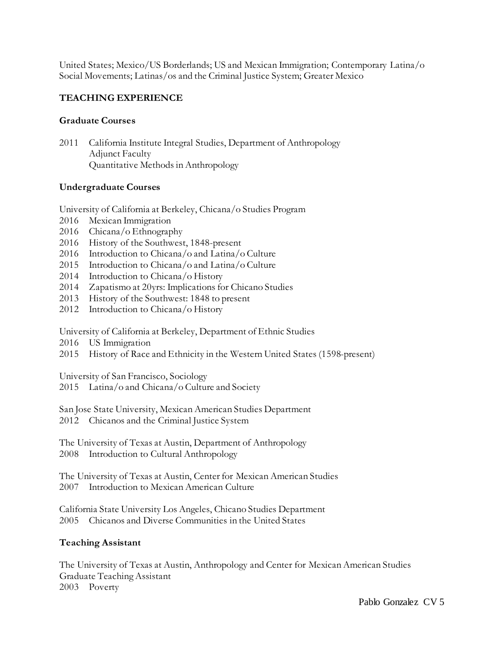United States; Mexico/US Borderlands; US and Mexican Immigration; Contemporary Latina/o Social Movements; Latinas/os and the Criminal Justice System; Greater Mexico

### **TEACHING EXPERIENCE**

#### **Graduate Courses**

2011 California Institute Integral Studies, Department of Anthropology Adjunct Faculty Quantitative Methods in Anthropology

#### **Undergraduate Courses**

University of California at Berkeley, Chicana/o Studies Program

- 2016 Mexican Immigration
- 2016 Chicana/o Ethnography
- 2016 History of the Southwest, 1848-present
- 2016 Introduction to Chicana/o and Latina/o Culture
- 2015 Introduction to Chicana/o and Latina/o Culture
- 2014 Introduction to Chicana/o History
- 2014 Zapatismo at 20yrs: Implications for Chicano Studies
- 2013 History of the Southwest: 1848 to present
- 2012 Introduction to Chicana/o History

University of California at Berkeley, Department of Ethnic Studies

- 2016 US Immigration
- 2015 History of Race and Ethnicity in the Western United States (1598-present)

University of San Francisco, Sociology

2015 Latina/o and Chicana/o Culture and Society

San Jose State University, Mexican American Studies Department 2012 Chicanos and the Criminal Justice System

The University of Texas at Austin, Department of Anthropology 2008 Introduction to Cultural Anthropology

The University of Texas at Austin, Center for Mexican American Studies 2007 Introduction to Mexican American Culture

California State University Los Angeles, Chicano Studies Department 2005 Chicanos and Diverse Communities in the United States

#### **Teaching Assistant**

The University of Texas at Austin, Anthropology and Center for Mexican American Studies Graduate Teaching Assistant 2003 Poverty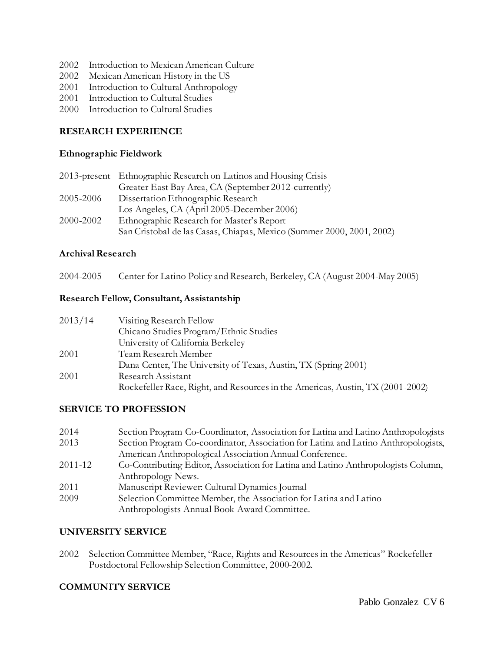- 2002 Introduction to Mexican American Culture
- 2002 Mexican American History in the US
- 2001 Introduction to Cultural Anthropology
- 2001 Introduction to Cultural Studies
- 2000 Introduction to Cultural Studies

### **RESEARCH EXPERIENCE**

#### **Ethnographic Fieldwork**

|           | 2013-present Ethnographic Research on Latinos and Housing Crisis      |
|-----------|-----------------------------------------------------------------------|
|           | Greater East Bay Area, CA (September 2012-currently)                  |
| 2005-2006 | Dissertation Ethnographic Research                                    |
|           | Los Angeles, CA (April 2005-December 2006)                            |
| 2000-2002 | Ethnographic Research for Master's Report                             |
|           | San Cristobal de las Casas, Chiapas, Mexico (Summer 2000, 2001, 2002) |

### **Archival Research**

2004-2005 Center for Latino Policy and Research, Berkeley, CA (August 2004-May 2005)

#### **Research Fellow, Consultant, Assistantship**

| 2013/14 | Visiting Research Fellow                                                       |
|---------|--------------------------------------------------------------------------------|
|         | Chicano Studies Program/Ethnic Studies                                         |
|         | University of California Berkeley                                              |
| 2001    | Team Research Member                                                           |
|         | Dana Center, The University of Texas, Austin, TX (Spring 2001)                 |
| 2001    | Research Assistant                                                             |
|         | Rockefeller Race, Right, and Resources in the Americas, Austin, TX (2001-2002) |

### **SERVICE TO PROFESSION**

| 2014    | Section Program Co-Coordinator, Association for Latina and Latino Anthropologists  |
|---------|------------------------------------------------------------------------------------|
| 2013    | Section Program Co-coordinator, Association for Latina and Latino Anthropologists, |
|         | American Anthropological Association Annual Conference.                            |
| 2011-12 | Co-Contributing Editor, Association for Latina and Latino Anthropologists Column,  |
|         | Anthropology News.                                                                 |
| 2011    | Manuscript Reviewer: Cultural Dynamics Journal                                     |
| 2009    | Selection Committee Member, the Association for Latina and Latino                  |
|         | Anthropologists Annual Book Award Committee.                                       |

### **UNIVERSITY SERVICE**

2002 Selection Committee Member, "Race, Rights and Resources in the Americas" Rockefeller Postdoctoral Fellowship Selection Committee, 2000-2002.

### **COMMUNITY SERVICE**